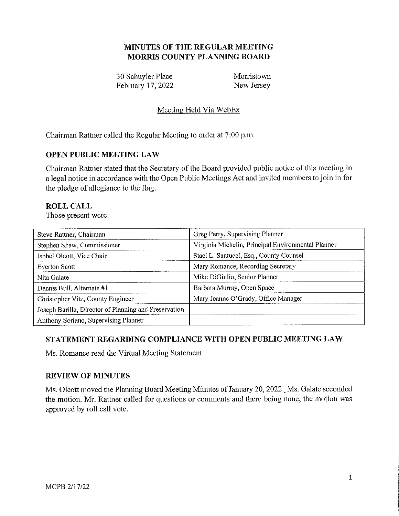## **MINUTES OF THE REGULAR MEETING MORRIS COUNTY PLANNING BOARD**

30 Schuyler Place Morristown February 17, 2022 New Jersey

# Meeting Held Via WebEx

Chairman Rattner called the Regular Meeting to order at 7:00 p.m.

## **OPEN PUBLIC MEETING LAW**

Chairman Rattner stated that the Secretary of the Board provided public notice of this meeting in a legal notice in accordance with the Open Public Meetings Act and invited members to join in for the pledge of allegiance to the flag.

## **ROLL CALL**

Those present were:

| Steve Rattner, Chairman                               | Greg Perry, Supervising Planner                    |
|-------------------------------------------------------|----------------------------------------------------|
| Stephen Shaw, Commissioner                            | Virginia Michelin, Principal Environmental Planner |
| Isobel Olcott, Vice Chair                             | Staci L. Santucci, Esq., County Counsel            |
| <b>Everton Scott</b>                                  | Mary Romance, Recording Secretary                  |
| Nita Galate                                           | Mike DiGiulio, Senior Planner                      |
| Dennis Bull, Alternate #1                             | Barbara Murray, Open Space                         |
| Christopher Vitz, County Engineer                     | Mary Jeanne O'Grady, Office Manager                |
| Joseph Barilla, Director of Planning and Preservation |                                                    |
| Anthony Soriano, Supervising Planner                  |                                                    |

## **STATEMENT REGARDING COMPLIANCE WITH OPEN PUBLIC MEETING LAW**

Ms. Romance read the Virtual Meeting Statement

#### **REVIEW OF MINUTES**

Ms. Olcott moved the Planning Board Meeting Minutes of January 20, 2022. Ms. Galate seconded the motion. Mr. Rattner called for questions or comments and there being none, the motion was approved by roll call vote.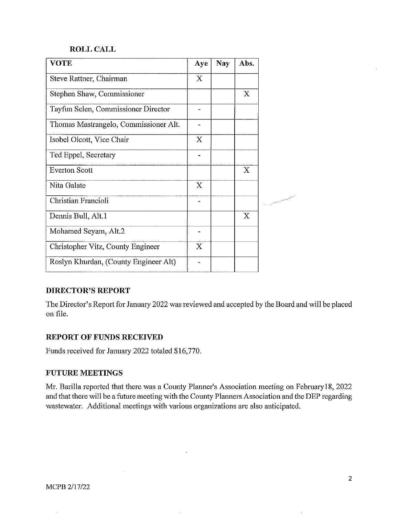#### **ROLL CALL**

| <b>VOTE</b>                           | Aye         | <b>Nay</b> | Abs.        |
|---------------------------------------|-------------|------------|-------------|
| Steve Rattner, Chairman               | X           |            |             |
| Stephen Shaw, Commissioner            |             |            | $\mathbf X$ |
| Tayfun Selen, Commissioner Director   | ٠           |            |             |
| Thomas Mastrangelo, Commissioner Alt. |             |            |             |
| Isobel Olcott, Vice Chair             | X           |            |             |
| Ted Eppel, Secretary                  | .,          |            |             |
| <b>Everton Scott</b>                  |             |            | X           |
| Nita Galate                           | $\mathbf X$ |            |             |
| Christian Francioli                   |             |            |             |
| Dennis Bull, Alt.1                    |             |            | X           |
| Mohamed Seyam, Alt.2                  |             |            |             |
| Christopher Vitz, County Engineer     | $\mathbf X$ |            |             |
| Roslyn Khurdan, (County Engineer Alt) |             |            |             |
|                                       |             |            |             |

## **DIRECTOR'S REPORT**

The Director's Report for January 2022 was reviewed and accepted by the Board and will be placed on file.

#### **REPORT OF FUNDS RECEIVED**

Funds received for January 2022 totaled \$16,770.

#### **FUTURE MEETINGS**

Mr. Barilla reported that there was a County Planner's Association meeting on Februaty 18, 2022 and that there will be a future meeting with the County Planners Association and the DEP regarding wastewater. Additional meetings with various organizations are also anticipated.

 $\overline{\phantom{a}}$ 

÷

 $\ddot{\phantom{a}}$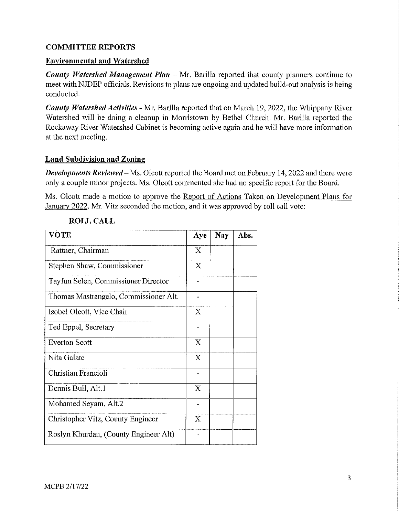## **COMMITTEE REPORTS**

### **Environmental and Watershed**

*County Watershed Management Plan* – Mr. Barilla reported that county planners continue to meet with NJDEP officials. Revisions to plans are ongoing and updated build-out analysis is being conducted.

*County Watershed Activities - Mr. Barilla reported that on March 19, 2022, the Whippany River* Watershed will be doing a cleanup in Morristown by Bethel Church. Mr. Barilla reported the Rockaway River Watershed Cabinet is becoming active again and he will have more information at the next meeting.

### **Land Subdivision and Zoning**

*Developments Reviewed-* Ms. Olcott reported the Board met on February 14, 2022 and there were only a couple minor projects. Ms. Olcott commented she had no specific report for the Board.

Ms. Olcott made a motion to approve the Report of Actions Taken on Development Plans for January 2022. Mr. Vitz seconded the motion, and it was approved by roll call vote:

| <b>VOTE</b>                           | Aye            | <b>Nay</b> | Abs. |
|---------------------------------------|----------------|------------|------|
| Rattner, Chairman                     | X              |            |      |
| Stephen Shaw, Commissioner            | X              |            |      |
| Tayfun Selen, Commissioner Director   |                |            |      |
| Thomas Mastrangelo, Commissioner Alt. |                |            |      |
| Isobel Olcott, Vice Chair             | X              |            |      |
| Ted Eppel, Secretary                  | $\blacksquare$ |            |      |
| Everton Scott                         | Χ              |            |      |
| Nita Galate                           | X              |            |      |
| Christian Francioli                   |                |            |      |
| Dennis Bull, Alt.1                    | X              |            |      |
| Mohamed Seyam, Alt.2                  |                |            |      |
| Christopher Vitz, County Engineer     | X              |            |      |
| Roslyn Khurdan, (County Engineer Alt) |                |            |      |

## **ROLL CALL**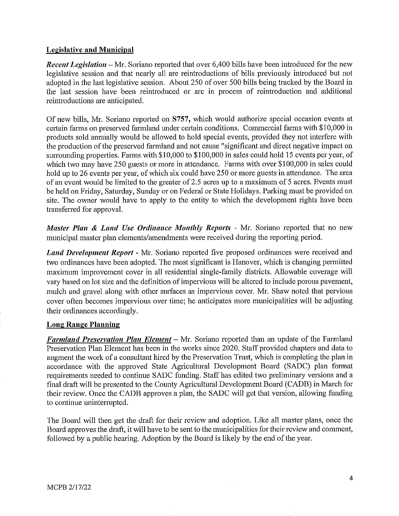### **Legislative and Municipal**

*Recent Legislation* – Mr. Soriano reported that over 6,400 bills have been introduced for the new legislative session and that nearly all are reintroductions of bills previously introduced but not adopted in the last legislative session. About 250 of over 500 bills being tracked by the Board in the last session have been reintroduced or are in process of reintroduction and additional reintroductions are anticipated.

Of new bills, Mr. Soriano reported on **S757,** which would authorize special occasion events at certain farms on preserved farmland under certain conditions. Commercial farms with \$10,000 in products sold annually would be allowed to hold special events, provided they not interfere with the production of the preserved farmland and not cause "significant and direct negative impact on surrounding properties. Farms with \$10,000 to \$100,000 in sales could hold 15 events per year, of which two may have 250 guests or more in attendance. Farms with over \$100,000 in sales could hold up to 26 events per year, of which six could have 250 or more guests in attendance. The area of an event would be limited to the greater of 2.5 acres up to a maximum of 5 acres. Events must be held on Friday, Saturday, Sunday or on Federal or State Holidays. Parking must be provided on site. The owner would have to apply to the entity to which the development rights have been transferred for approval.

*Master Plan* & *Land Use Ordinance Monthly Reports* - Mr. Soriano reported that no new municipal master plan elements/amendments were received during the reporting period.

*Land Development Report* - Mr. Soriano reported five proposed ordinances were received and two ordinances have been adopted. The most significant is Hanover, which is changing permitted maximum improvement cover in all residential single-family districts. Allowable coverage will vary based on lot size and the definition of impervious will be altered to include porous pavement, mulch and gravel along with other surfaces as impervious cover. Mr. Shaw noted that pervious cover often becomes impervious over time; he anticipates more municipalities will be adjusting their ordinances accordingly.

## **Long Range Planning**

*Farmland Preservation Plan Element* – Mr. Soriano reported than an update of the Farmland Preservation Plan Element has been in the works since 2020. Staff provided chapters and data to augment the work of a consultant hired by the Preservation Trust, which is completing the plan in accordance with the approved State Agricultural Development Board (SADC) plan format requirements needed to continue SADC funding. Staff has edited two preliminary versions and a final draft will be presented to the County Agricultural Development Board (CADB) in March for their review. Once the CADB approves a plan, the SADC will get that version, allowing funding to continue uninterrupted.

The Board will then get the draft for their review and adoption. Like all master plans, once the Board approves the draft, it will have to be sent to the municipalities for their review and comment, followed by a public hearing. Adoption by the Board is likely by the end of the year.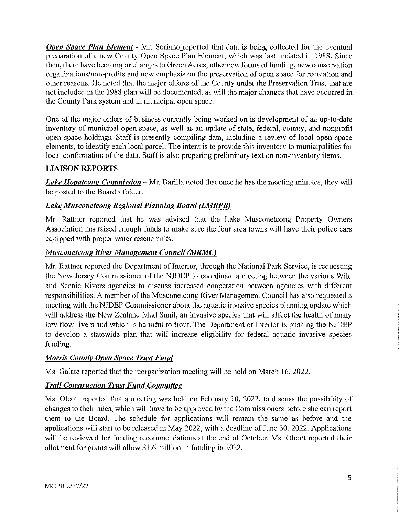*Open Space Plan Element -* Mr. Soriano reported that data is being collected for the eventual preparation of a new County Open Space Plan Element, which was last updated in 1988. Since then, there have been major changes to Green Acres, other new forms of funding, new conservation organizations/non-profits and new emphasis on the preservation of open space for recreation and other reasons. He noted that the major efforts of the County under the Preservation Trust that are not included in the 1988 plan will be documented, as will the major changes that have occurred in the County Park system and in municipal open space.

One of the major orders of business currently being worked on is development of an up-to-date inventory of municipal open space, as well as an update of state, federal, county, and nonprofit open space holdings. Staff is presently compiling data, including a review of local open space elements, to identify each local parcel. The intent is to provide this inventory to municipalities for local confirmation of the data. Staff is also preparing preliminary text on non-inventory items.

# **LIAISON REPORTS**

*Lake Hopatcong Commission* – Mr. Barilla noted that once he has the meeting minutes, they will be posted to the Board's folder.

# Lake Musconetcong Regional Planning Board (LMRPB)

Mr. Rattner reported that he was advised that the Lake Musconetcong Property Owners Association has raised enough funds to make sure the four area towns will have their police cars equipped with proper water rescue units.

# *Musconetcong River Management Council (MRMC)*

Mr. Rattner reported the Department of Interior, through the National Park Service, is requesting the New Jersey Commissioner of the NJDEP to eoordinate a meeting between the various Wild and Scenic Rivers agencies to discuss increased cooperation between agencies with different responsibilities. A member of the Musconetcong River Management Council has also requested a meeting with the NJDEP Commissioner about the aquatic invasive species planning update which will address the New Zealand Mud Snail, an invasive species that will affect the health of many low flow rivers and which is harmful to trout. The Department of Interior is pushing the NJDEP to develop a statewide plan that will increase eligibility for federal aquatic invasive species funding.

# *Morris County Open Space Trust Fund*

Ms. Galate reported that the reorganization meeting will be held on March 16, 2022.

# **Trail Construction Trust Fund Committee**

Ms. Olcott reported that a meeting was held on February 10, 2022, to discuss the possibility of changes to their rules, which will have to be approved by the Commissioners before she can report them to the Board. The schedule for applications will remain the same as before and the applications will start to be released in May 2022, with a deadline of June 30, 2022. Applications will be reviewed for funding recommendations at the end of October. Ms. Olcott reported their allotment for grants will allow \$1.6 million in funding in 2022.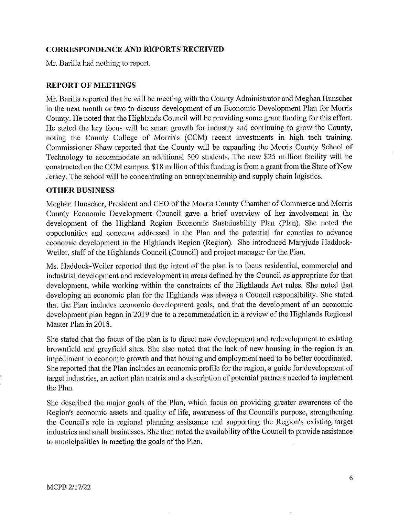### **CORRESPONDENCE AND REPORTS RECEIVED**

Mr. Barilla had nothing to report.

#### **REPORT OF MEETINGS**

Mr. Barilla reported that he will be meeting with the County Administrator and Meghan Hunscher in the next month or two to discuss development of an Economic Development Plan for Morris County. He noted that the Highlands Council will be providing some grant funding for this effort. He stated the key focus will be smart growth for industty and continuing to grow the County, noting the County College of Morris's (CCM) recent investments in high tech training. Commissioner Shaw reported that the County will be expanding the Morris County School of Technology to accommodate an additional 500 students. The new \$25 million facility will be constructed on the CCM campus. \$18 million of this funding is from a grant from the State of New Jersey. The school will be concentrating on entrepreneurship and supply chain logistics.

### **OTHER BUSINESS**

Meghan Hunscher, President and CEO of the Morris County Chamber of Commerce and Morris County Economic Development Council gave a brief overview of her involvement in the development of the Highland Region Economic Sustainability Plan (Plan). She noted the opportunities and concerns addressed in the Plan and the potential for counties to advance economic development in the Highlands Region (Region). She introduced Matyjude Haddock-Weiler, staff of the Highlands Council (Council) and project manager for the Plan.

Ms. Haddock-Weiler reported that the intent of the plan is to focus residential, commercial and industrial development and redevelopment in areas defined by the Council as appropriate for that development, while working within the constraints of the Highlands Act rules. She noted that developing an economic plan for the Highlands was always a Council responsibility. She stated that the Plan includes economic development goals, and that the development of an economic development plan began in 2019 due to a recommendation in a review of the Highlands Regional Master Plan in 2018.

She stated that the focus of the plan is to direct new development and redevelopment to existing brownfield and greyfield sites. She also noted that the lack of new housing in the region is an impediment to economic growth and that housing and employment need to be better coordinated. She reported that the Plan includes an economic profile for the region, a guide for development of target industries, an action plan matrix and a description of potential partners needed to implement the Plan.

She described the major goals of the Plan, which focus on providing greater awareness of the Region's economic assets and quality of life, awareness of the Council's purpose, strengthening the Council's role in regional planning assistance and supporting the Region's existing target industries and small businesses. She then noted the availability of the Council to provide assistance to municipalities in meeting the goals of the Plan.